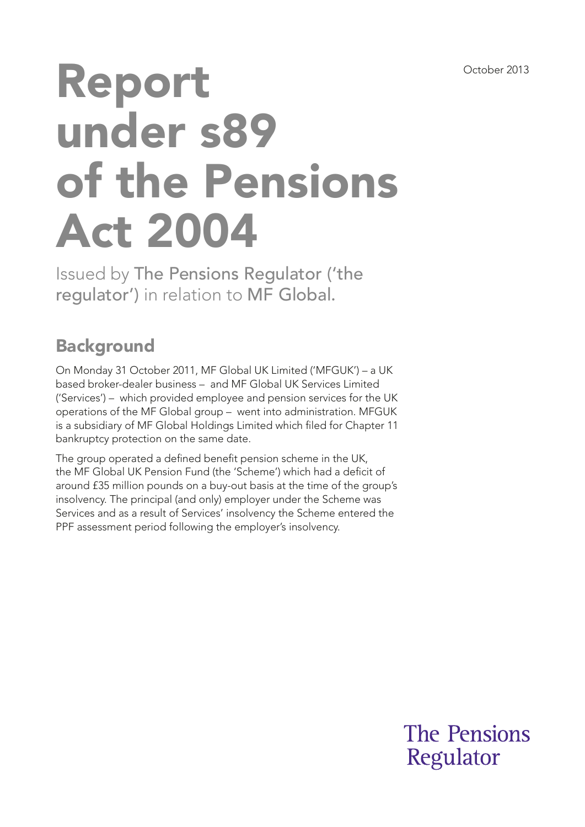# Report under s89 of the Pensions Act 2004

Issued by The Pensions Regulator ('the regulator') in relation to MF Global.

## **Background**

On Monday 31 October 2011, MF Global UK Limited ('MFGUK') – a UK based broker-dealer business – and MF Global UK Services Limited ('Services') – which provided employee and pension services for the UK operations of the MF Global group – went into administration. MFGUK is a subsidiary of MF Global Holdings Limited which fled for Chapter 11 bankruptcy protection on the same date.

The group operated a defined benefit pension scheme in the UK, the MF Global UK Pension Fund (the 'Scheme') which had a deficit of around £35 million pounds on a buy-out basis at the time of the group's insolvency. The principal (and only) employer under the Scheme was Services and as a result of Services' insolvency the Scheme entered the PPF assessment period following the employer's insolvency.

> **The Pensions** Regulator